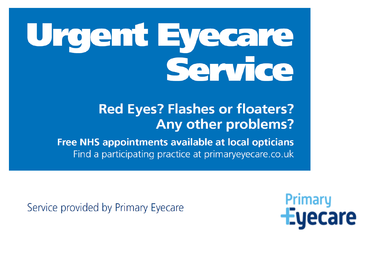# Urgent Eyecare Service

### **Red Eyes? Flashes or floaters? Any other problems?**

**Free NHS appointments available at local opticians** Find a participating practice at primary eyecare.co.uk

Service provided by Primary Eyecare

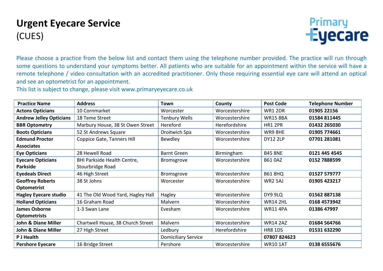#### **Urgent Eyecare Service** (CUES)



Please choose a practice from the below list and contact them using the telephone number provided. The practice will run through some questions to understand your symptoms better. All patients who are suitable for an appointment within the service will have a remote telephone / video consultation with an accredited practitioner. Only those requiring essential eye care will attend an optical and see an optometrist for an appointment.

This list is subject to change, please visit www.primaryeyecare.co.uk

| <b>Practice Name</b>           | <b>Address</b>                     | <b>Town</b>                | County         | <b>Post Code</b> | <b>Telephone Number</b> |
|--------------------------------|------------------------------------|----------------------------|----------------|------------------|-------------------------|
| <b>Actons Opticians</b>        | 10 Cornmarket                      | Worcester                  | Worcestershire | WR1 2DR          | 01905 22156             |
| <b>Andrew Jelley Opticians</b> | 18 Teme Street                     | <b>Tenbury Wells</b>       | Worcestershire | <b>WR15 8BA</b>  | 01584 811445            |
| <b>BBR Optometry</b>           | Marbury House, 38 St Owen Street   | Hereford                   | Herefordshire  | <b>HR1 2PR</b>   | 01432 265030            |
| <b>Boots Opticians</b>         | 52 St Andrews Square               | Droitwich Spa              | Worcestershire | WR9 8HE          | 01905 774661            |
| <b>Edmund Proctor</b>          | Coppice Gate, Tanners Hill         | Bewdley                    | Worcestershire | <b>DY12 2LP</b>  | 07701 281081            |
| <b>Associates</b>              |                                    |                            |                |                  |                         |
| <b>Eye Opticians</b>           | 28 Hewell Road                     | <b>Barnt Green</b>         | Birmingham     | <b>B45 8NE</b>   | 0121 445 4545           |
| <b>Eyecare Opticians</b>       | <b>BHI Parkside Health Centre,</b> | Bromsgrove                 | Worcestershire | <b>B61 OAZ</b>   | 0152 7888599            |
| <b>Parkside</b>                | Stourbridge Road                   |                            |                |                  |                         |
| <b>Eyedeals Direct</b>         | 46 High Street                     | Bromsgrove                 | Worcestershire | <b>B61 8HQ</b>   | 01527 579777            |
| <b>Geoffrey Roberts</b>        | 38 St Johns                        | Worcester                  | Worcestershire | <b>WR2 5AJ</b>   | 01905 423217            |
| <b>Optometrist</b>             |                                    |                            |                |                  |                         |
| <b>Hagley Eyecare studio</b>   | 41 The Old Wood Yard, Hagley Hall  | Hagley                     | Worcestershire | DY9 9LQ          | 01562887138             |
| <b>Holland Opticians</b>       | 16 Graham Road                     | Malvern                    | Worcestershire | <b>WR14 2HL</b>  | 0168 4573942            |
| <b>James Osborne</b>           | 1-3 Swan Lane                      | Evesham                    | Worcestershire | <b>WR11 4PA</b>  | 01386 47997             |
| <b>Optometrists</b>            |                                    |                            |                |                  |                         |
| <b>John &amp; Diane Miller</b> | Chartwell House, 38 Church Street  | Malvern                    | Worcestershire | <b>WR14 2AZ</b>  | 01684 564766            |
| <b>John &amp; Diane Miller</b> | 27 High Street                     | Ledbury                    | Herefordshire  | <b>HR8 1DS</b>   | 01531 632290            |
| P J Health                     |                                    | <b>Domiciliary Service</b> |                | 07807824623      |                         |
| <b>Pershore Eyecare</b>        | 16 Bridge Street                   | Pershore                   | Worcestershire | <b>WR10 1AT</b>  | 0138 6555676            |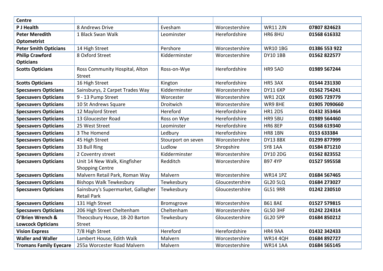| <b>Centre</b>                 |                                    |                    |                 |                 |               |
|-------------------------------|------------------------------------|--------------------|-----------------|-----------------|---------------|
| P J Health                    | 8 Andrews Drive                    | Evesham            | Worcestershire  | <b>WR11 2JN</b> | 07807824623   |
| <b>Peter Meredith</b>         | 1 Black Swan Walk                  | Leominster         | Herefordshire   | HR6 8HU         | 01568 616332  |
| <b>Optometrist</b>            |                                    |                    |                 |                 |               |
| <b>Peter Smith Opticians</b>  | 14 High Street                     | Pershore           | Worcestershire  | <b>WR101BG</b>  | 01386 553 922 |
| <b>Philip Crawford</b>        | 8 Oxford Street                    | Kidderminster      | Worcestershire  | <b>DY10 1BB</b> | 01562 822577  |
| <b>Opticians</b>              |                                    |                    |                 |                 |               |
| <b>Scotts Opticians</b>       | Ross Community Hospital, Alton     | Ross-on-Wye        | Herefordshire   | HR9 5AD         | 01989 567244  |
|                               | <b>Street</b>                      |                    |                 |                 |               |
| <b>Scotts Opticians</b>       | 16 High Street                     | Kington            | Herefordshire   | HR5 3AX         | 01544 231330  |
| <b>Specsavers Opticians</b>   | Sainsburys, 2 Carpet Trades Way    | Kidderminster      | Worcestershire  | <b>DY11 6XP</b> | 01562 754241  |
| <b>Specsavers Opticians</b>   | 9 - 13 Pump Street                 | Worcester          | Worcestershire  | <b>WR1 2QX</b>  | 01905 729779  |
| <b>Specsavers Opticians</b>   | 10 St Andrews Square               | Droitwich          | Worcestershire  | WR9 8HE         | 01905 7090660 |
| <b>Specsavers Opticians</b>   | 12 Maylord Street                  | Hereford           | Herefordshire   | <b>HR1 2DS</b>  | 01432 353464  |
| <b>Specsavers Opticians</b>   | 13 Gloucester Road                 | Ross on Wye        | Herefordshire   | HR9 5BU         | 01989 564460  |
| <b>Specsavers Opticians</b>   | 25 West Street                     | Leominster         | Herefordshire   | <b>HR6 8EP</b>  | 01568 619340  |
| <b>Specsavers Opticians</b>   | 3 The Homend                       | Ledbury            | Herefordshire   | <b>HR8 1BN</b>  | 0153 633384   |
| <b>Specsavers Opticians</b>   | 45 High Street                     | Stourport on seven | Worcestershire  | <b>DY13 8BX</b> | 01299 877999  |
| <b>Specsavers Opticians</b>   | 33 Bull Ring                       | Ludlow             | Shropshire      | <b>SY8 1AA</b>  | 01584 871210  |
| <b>Specsavers Opticians</b>   | 2 Coventry street                  | Kidderminster      | Worcestershire  | <b>DY10 2DG</b> | 01562823552   |
| <b>Specsavers Opticians</b>   | Unit 14 New Walk, Kingfisher       | Redditch           | Worcestershire  | <b>B97 4YP</b>  | 01527 595558  |
|                               | <b>Shopping Centre</b>             |                    |                 |                 |               |
| <b>Specsavers Opticians</b>   | Malvern Retail Park, Roman Way     | Malvern            | Worcestershire  | <b>WR14 1PZ</b> | 01684 567465  |
| <b>Specsavers Opticians</b>   | <b>Bishops Walk Tewkesbury</b>     | Tewkesbury         | Gloucestershire | <b>GL20 5LQ</b> | 01684 273027  |
| <b>Specsavers Opticians</b>   | Sainsbury's Supermarket, Gallagher | Tewkesbury         | Gloucestershire | <b>GL51 9RR</b> | 01242 230510  |
|                               | <b>Retail Park</b>                 |                    |                 |                 |               |
| <b>Specsavers Opticians</b>   | 131 High Street                    | Bromsgrove         | Worcestershire  | <b>B61 8AE</b>  | 01527 579815  |
| <b>Specsavers Opticians</b>   | 206 High Street Cheltenham         | Cheltenham         | Worcestershire  | <b>GL50 3HF</b> | 01242 224314  |
| O'Brien Wrench &              | Theocsbury House, 18-20 Barton     | Tewkesbury         | Gloucestershire | <b>GL20 5PP</b> | 01684 850212  |
| <b>Lowcock Opticians</b>      | <b>Street</b>                      |                    |                 |                 |               |
| <b>Vision Express</b>         | 7/8 High Street                    | Hereford           | Herefordshire   | HR4 9AA         | 01432 342433  |
| <b>Waller and Waller</b>      | Lambert House, Edith Walk          | Malvern            | Worcestershire  | <b>WR14 4QH</b> | 01684 892727  |
| <b>Tromans Family Eyecare</b> | 255a Worcester Road Malvern        | Malvern            | Worcestershire  | <b>WR14 1AA</b> | 01684 565145  |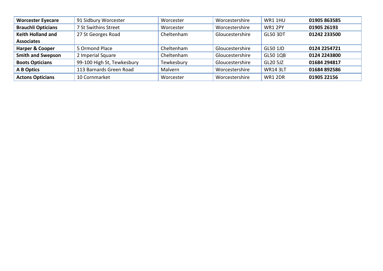| <b>Worcester Eyecare</b>  | 91 Sidbury Worcester       | Worcester  | Worcestershire  | WR1 1HU         | 01905 863585 |
|---------------------------|----------------------------|------------|-----------------|-----------------|--------------|
| <b>Brauchli Opticians</b> | 7 St Swithins Street       | Worcester  | Worcestershire  | <b>WR1 2PY</b>  | 01905 26193  |
| <b>Keith Holland and</b>  | 27 St Georges Road         | Cheltenham | Gloucestershire | <b>GL50 3DT</b> | 01242 233500 |
| <b>Associates</b>         |                            |            |                 |                 |              |
| Harper & Cooper           | 5 Ormond Place             | Cheltenham | Gloucestershire | <b>GL50 1JD</b> | 0124 2254721 |
| <b>Smith and Swepson</b>  | 2 Imperial Square          | Cheltenham | Gloucestershire | <b>GL50 1QB</b> | 0124 2243800 |
| <b>Boots Opticians</b>    | 99-100 High St, Tewkesbury | Tewkesbury | Gloucestershire | GL20 5JZ        | 01684 294817 |
| A B Optics                | 113 Barnards Green Road    | Malvern    | Worcestershire  | <b>WR14 3LT</b> | 01684 892586 |
| <b>Actons Opticians</b>   | 10 Cornmarket              | Worcester  | Worcestershire  | <b>WR1 2DR</b>  | 01905 22156  |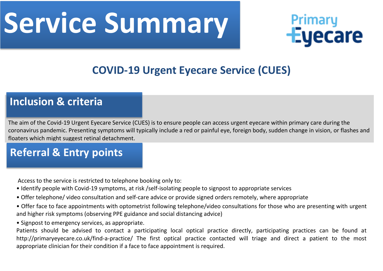## **Service Summary**



#### **COVID-19 Urgent Eyecare Service (CUES)**

#### **Inclusion & criteria**

The aim of the Covid-19 Urgent Eyecare Service (CUES) is to ensure people can access urgent eyecare within primary care during the coronavirus pandemic. Presenting symptoms will typically include a red or painful eye, foreign body, sudden change in vision, or flashes and floaters which might suggest retinal detachment.

#### **Referral & Entry points**

Access to the service is restricted to telephone booking only to:

- Identify people with Covid-19 symptoms, at risk /self-isolating people to signpost to appropriate services
- Offer telephone/ video consultation and self-care advice or provide signed orders remotely, where appropriate
- Offer face to face appointments with optometrist following telephone/video consultations for those who are presenting with urgent and higher risk symptoms (observing PPE guidance and social distancing advice)
- Signpost to emergency services, as appropriate.

Patients should be advised to contact a participating local optical practice directly, participating practices can be found at http://primaryeyecare.co.uk/find-a-practice/ The first optical practice contacted will triage and direct a patient to the most appropriate clinician for their condition if a face to face appointment is required.